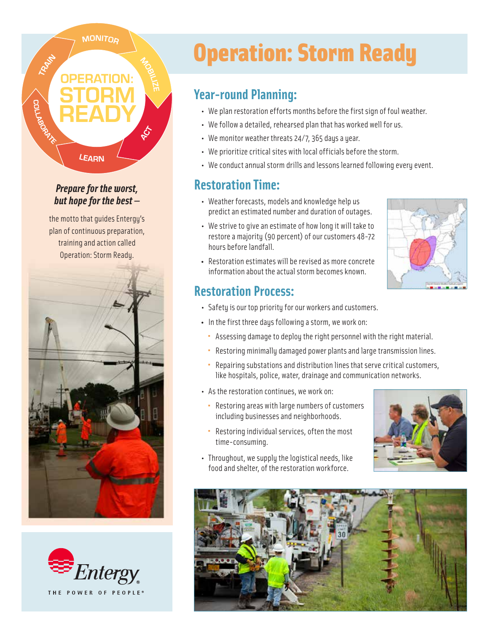#### **MONITOR**

TRANT

**COLLAB** 

#### *Prepare for the worst, but hope for the best —*

LEARN

the motto that guides Entergy's plan of continuous preparation, training and action called Operation: Storm Ready.





# Operation: Storm Ready

#### **Year-round Planning:**

- We plan restoration efforts months before the first sign of foul weather.
- We follow a detailed, rehearsed plan that has worked well for us.
- We monitor weather threats 24/7, 365 days a year.
- We prioritize critical sites with local officials before the storm.
- We conduct annual storm drills and lessons learned following every event.

### **Restoration Time:**

- Weather forecasts, models and knowledge help us predict an estimated number and duration of outages.
- We strive to give an estimate of how long it will take to restore a majority (90 percent) of our customers 48-72 hours before landfall.
- Restoration estimates will be revised as more concrete information about the actual storm becomes known.

#### **Restoration Process:**

- Safety is our top priority for our workers and customers.
- In the first three days following a storm, we work on:
- Assessing damage to deploy the right personnel with the right material.
- Restoring minimally damaged power plants and large transmission lines.
- Repairing substations and distribution lines that serve critical customers, like hospitals, police, water, drainage and communication networks.
	- As the restoration continues, we work on:
		- Restoring areas with large numbers of customers including businesses and neighborhoods.
- Restoring individual services, often the most time-consuming.
	- Throughout, we supply the logistical needs, like food and shelter, of the restoration workforce.